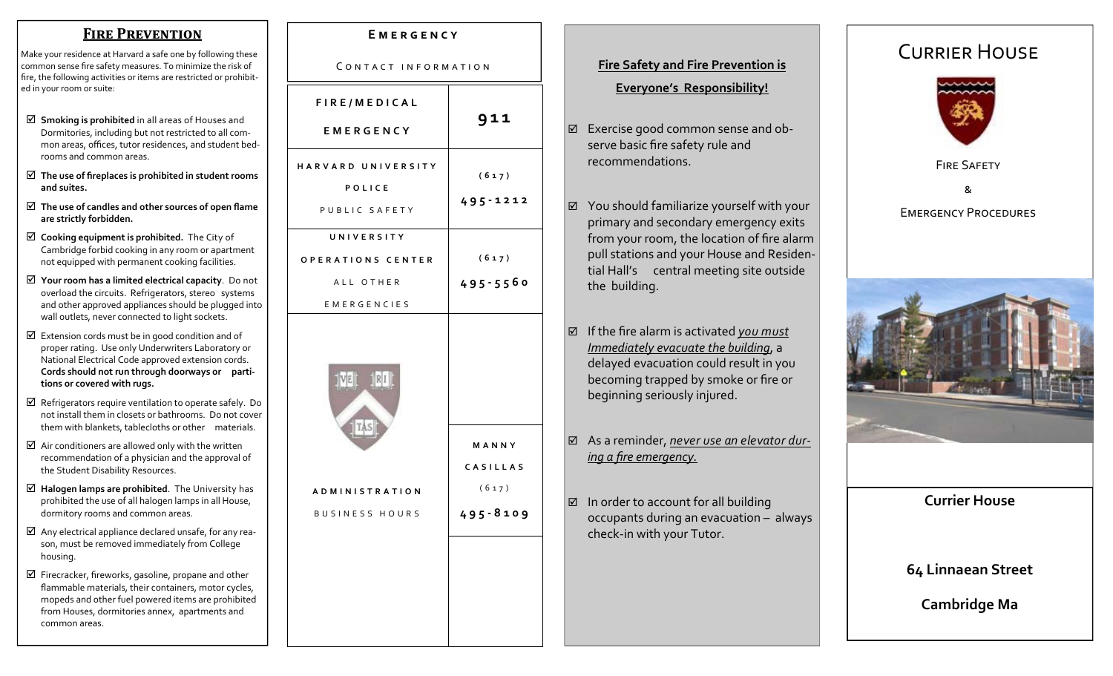### **FIRE PREVENTION**

Make your residence at Harvard a safe one by following these common sense fire safety measures. To minimize the risk of fire, the following activities or items are restricted or prohibited in your room or suite:

- **Smoking is prohibited** in all areas of Houses and Dormitories, including but not restricted to all com‐ mon areas, o ffices, tutor residences, and student bed‐ rooms and common areas.
- **The use of fireplaces is prohibited in student rooms and suites.**
- **The use of candles and other sources of open flame are strictly forbidden.**
- **Cooking equipment is prohibited.** The City of Cambridge forbid cooking in any room or apartment not equipped with permanent cooking facilities.
- **Your room has a limited electrical capacity**. Do not overload the circuits. Refrigerators, stereo systems and other approved appliances should be plugged into wall outlets, never connected to light sockets.
- $\boxtimes$  Extension cords must be in good condition and of proper rating. Use only Underwriters Laboratory or National Electrical Code approved extension cords. **Cords should not run through doorways or parti‐ tions or covered with rugs.**
- $\boxtimes$  Refrigerators require ventilation to operate safely. Do not install them in closets or bathrooms. Do not cover them with blankets, tablecloths or other materials.
- $\boxtimes$  Air conditioners are allowed only with the written recommendation of a physician and the approval of the Student Disability Resources.
- **Halogen lamps are prohibited**. The University has prohibited the use of all halogen lamps in all House, dormitory rooms and common areas.
- $\boxtimes$  Any electrical appliance declared unsafe, for any reason, must be removed immediately from College housing.
- $\boxtimes$  Firecracker, fireworks, gasoline, propane and other flammable materials, their containers, motor cycles, mopeds and other fuel powered items are prohibited from Houses, dormitories annex, apartments and common areas.

| CONTACT INFORMATION                                                |                                            |
|--------------------------------------------------------------------|--------------------------------------------|
| FIRE/MEDICAL<br><b>EMERGENCY</b>                                   | 911                                        |
| HARVARD UNIVERSITY<br>POLICE<br>PUBLIC SAFETY                      | (617)<br>495-1212                          |
| UNIVERSITY<br>OPERATIONS CENTER<br>ALL OTHER<br><b>EMERGENCIES</b> | (617)<br>$495 - 5560$                      |
| <b>ADMINISTRATION</b><br><b>BUSINESS HOURS</b>                     | MANNY<br>CASILLAS<br>(617)<br>$495 - 8109$ |

**E ME R GEN C Y**

## **Fire Safety and Fire Prevention is Everyone's Responsibility!**

- Exercise good common sense and ob‐ serve basic fire safety rule and recommendations.
- You should familiarize yourself with your primary and secondary emergency exits from your room, the location of fire alarm pull stations and your House and Residen‐ tial Hall's central meeting site outside the building.
- If the fire alarm is activated *you mus<sup>t</sup> Immediately evacuate the building*, <sup>a</sup> delayed evacuation could result in you becoming trapped by smoke or fire or beginning seriously injured.
- As a reminder, *never use an elevator dur‐ ing a fire emergency.*
- $\boxtimes$  In order to account for all building occupants during an evacuation – always check‐in with your Tutor.

# CURRIER HOUSE





**Currier House** 

## **64 Linnaean Street**

**Cambridge Ma**